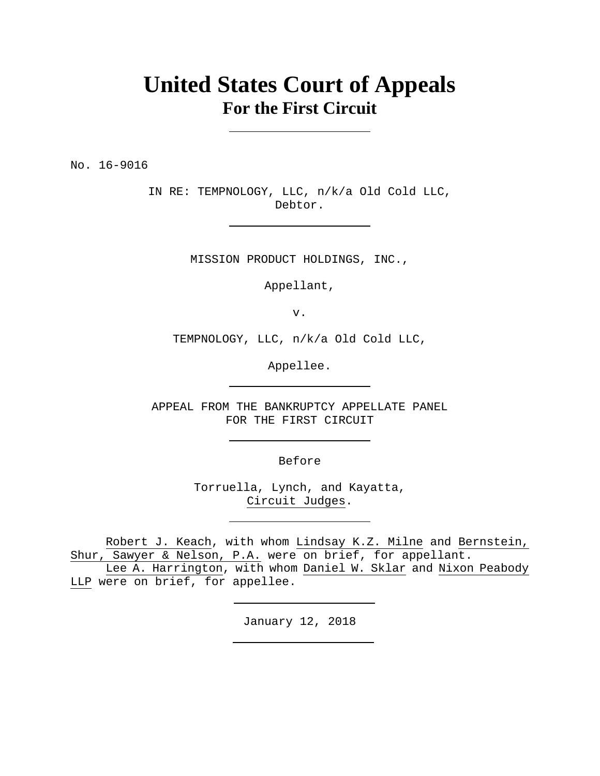# **United States Court of Appeals For the First Circuit**

No. 16-9016

IN RE: TEMPNOLOGY, LLC, n/k/a Old Cold LLC, Debtor.

MISSION PRODUCT HOLDINGS, INC.,

Appellant,

v.

TEMPNOLOGY, LLC, n/k/a Old Cold LLC,

Appellee.

APPEAL FROM THE BANKRUPTCY APPELLATE PANEL FOR THE FIRST CIRCUIT

Before

Torruella, Lynch, and Kayatta, Circuit Judges.

Robert J. Keach, with whom Lindsay K.Z. Milne and Bernstein, Shur, Sawyer & Nelson, P.A. were on brief, for appellant.

Lee A. Harrington, with whom Daniel W. Sklar and Nixon Peabody LLP were on brief, for appellee.

January 12, 2018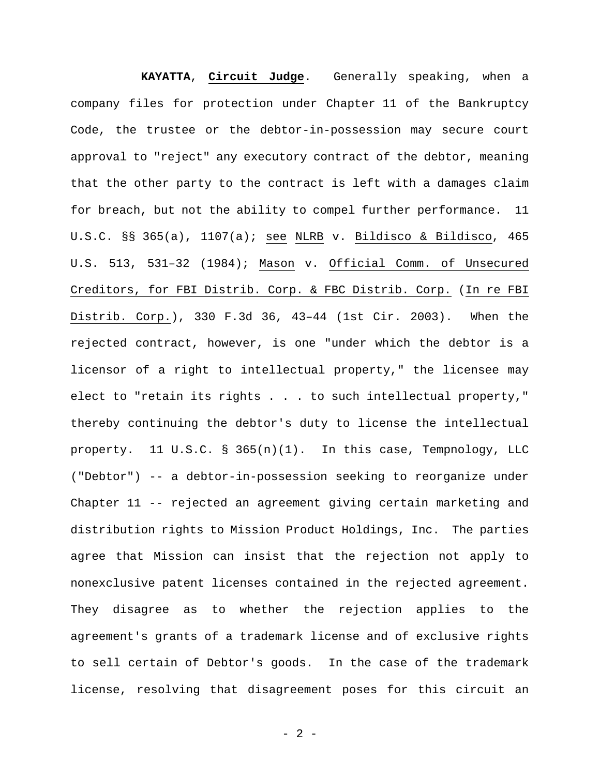**KAYATTA**, **Circuit Judge**. Generally speaking, when a company files for protection under Chapter 11 of the Bankruptcy Code, the trustee or the debtor-in-possession may secure court approval to "reject" any executory contract of the debtor, meaning that the other party to the contract is left with a damages claim for breach, but not the ability to compel further performance. 11 U.S.C. §§ 365(a), 1107(a); see NLRB v. Bildisco & Bildisco, 465 U.S. 513, 531–32 (1984); Mason v. Official Comm. of Unsecured Creditors, for FBI Distrib. Corp. & FBC Distrib. Corp. (In re FBI Distrib. Corp.), 330 F.3d 36, 43–44 (1st Cir. 2003). When the rejected contract, however, is one "under which the debtor is a licensor of a right to intellectual property," the licensee may elect to "retain its rights . . . to such intellectual property," thereby continuing the debtor's duty to license the intellectual property. 11 U.S.C. § 365(n)(1). In this case, Tempnology, LLC ("Debtor") -- a debtor-in-possession seeking to reorganize under Chapter 11 -- rejected an agreement giving certain marketing and distribution rights to Mission Product Holdings, Inc. The parties agree that Mission can insist that the rejection not apply to nonexclusive patent licenses contained in the rejected agreement. They disagree as to whether the rejection applies to the agreement's grants of a trademark license and of exclusive rights to sell certain of Debtor's goods. In the case of the trademark license, resolving that disagreement poses for this circuit an

- 2 -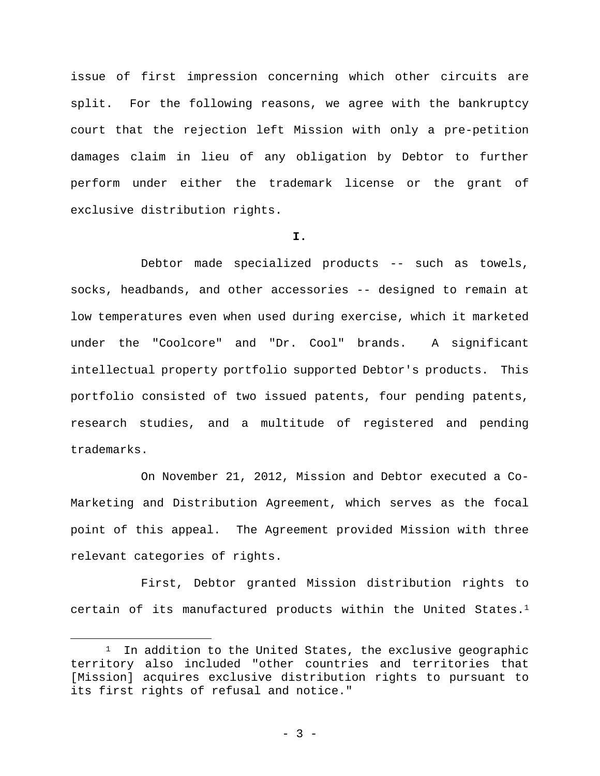issue of first impression concerning which other circuits are split. For the following reasons, we agree with the bankruptcy court that the rejection left Mission with only a pre-petition damages claim in lieu of any obligation by Debtor to further perform under either the trademark license or the grant of exclusive distribution rights.

## **I.**

Debtor made specialized products -- such as towels, socks, headbands, and other accessories -- designed to remain at low temperatures even when used during exercise, which it marketed under the "Coolcore" and "Dr. Cool" brands. A significant intellectual property portfolio supported Debtor's products. This portfolio consisted of two issued patents, four pending patents, research studies, and a multitude of registered and pending trademarks.

On November 21, 2012, Mission and Debtor executed a Co-Marketing and Distribution Agreement, which serves as the focal point of this appeal. The Agreement provided Mission with three relevant categories of rights.

First, Debtor granted Mission distribution rights to certain of its manufactured products within the United States.1

1

 $1$  In addition to the United States, the exclusive geographic territory also included "other countries and territories that [Mission] acquires exclusive distribution rights to pursuant to its first rights of refusal and notice."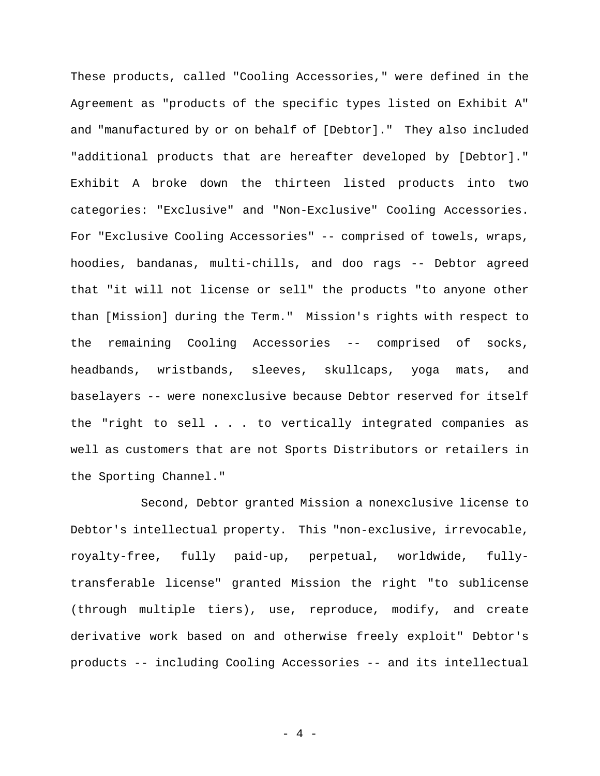These products, called "Cooling Accessories," were defined in the Agreement as "products of the specific types listed on Exhibit A" and "manufactured by or on behalf of [Debtor]." They also included "additional products that are hereafter developed by [Debtor]." Exhibit A broke down the thirteen listed products into two categories: "Exclusive" and "Non-Exclusive" Cooling Accessories. For "Exclusive Cooling Accessories" -- comprised of towels, wraps, hoodies, bandanas, multi-chills, and doo rags -- Debtor agreed that "it will not license or sell" the products "to anyone other than [Mission] during the Term." Mission's rights with respect to the remaining Cooling Accessories -- comprised of socks, headbands, wristbands, sleeves, skullcaps, yoga mats, and baselayers -- were nonexclusive because Debtor reserved for itself the "right to sell . . . to vertically integrated companies as well as customers that are not Sports Distributors or retailers in the Sporting Channel."

Second, Debtor granted Mission a nonexclusive license to Debtor's intellectual property. This "non-exclusive, irrevocable, royalty-free, fully paid-up, perpetual, worldwide, fullytransferable license" granted Mission the right "to sublicense (through multiple tiers), use, reproduce, modify, and create derivative work based on and otherwise freely exploit" Debtor's products -- including Cooling Accessories -- and its intellectual

- 4 -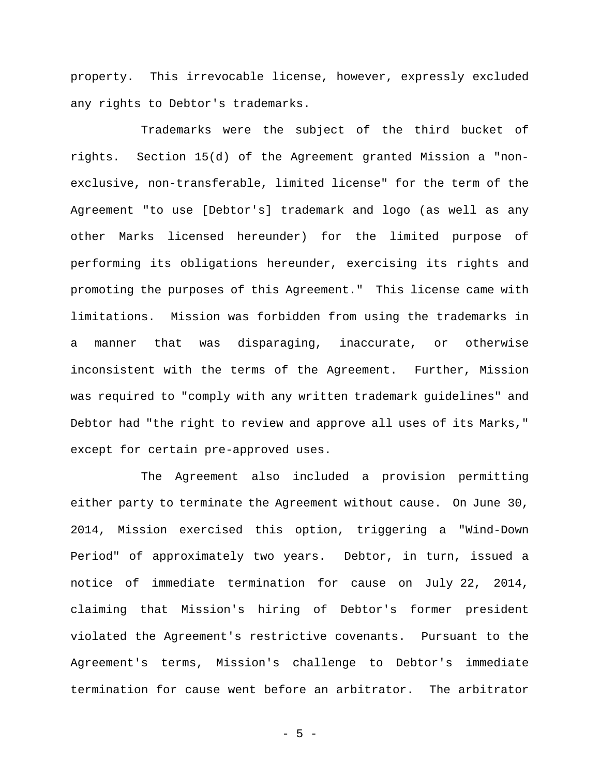property. This irrevocable license, however, expressly excluded any rights to Debtor's trademarks.

Trademarks were the subject of the third bucket of rights. Section 15(d) of the Agreement granted Mission a "nonexclusive, non-transferable, limited license" for the term of the Agreement "to use [Debtor's] trademark and logo (as well as any other Marks licensed hereunder) for the limited purpose of performing its obligations hereunder, exercising its rights and promoting the purposes of this Agreement." This license came with limitations. Mission was forbidden from using the trademarks in a manner that was disparaging, inaccurate, or otherwise inconsistent with the terms of the Agreement. Further, Mission was required to "comply with any written trademark guidelines" and Debtor had "the right to review and approve all uses of its Marks," except for certain pre-approved uses.

The Agreement also included a provision permitting either party to terminate the Agreement without cause. On June 30, 2014, Mission exercised this option, triggering a "Wind-Down Period" of approximately two years. Debtor, in turn, issued a notice of immediate termination for cause on July 22, 2014, claiming that Mission's hiring of Debtor's former president violated the Agreement's restrictive covenants. Pursuant to the Agreement's terms, Mission's challenge to Debtor's immediate termination for cause went before an arbitrator. The arbitrator

- 5 -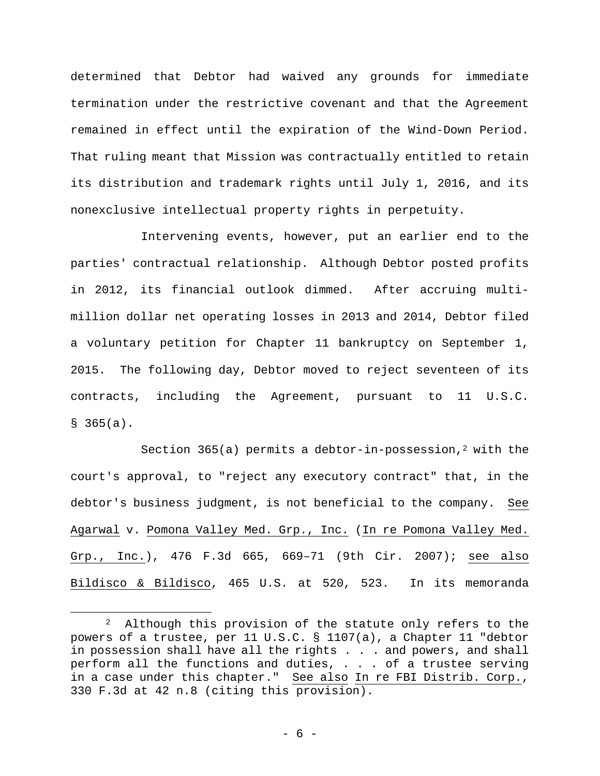determined that Debtor had waived any grounds for immediate termination under the restrictive covenant and that the Agreement remained in effect until the expiration of the Wind-Down Period. That ruling meant that Mission was contractually entitled to retain its distribution and trademark rights until July 1, 2016, and its nonexclusive intellectual property rights in perpetuity.

Intervening events, however, put an earlier end to the parties' contractual relationship. Although Debtor posted profits in 2012, its financial outlook dimmed. After accruing multimillion dollar net operating losses in 2013 and 2014, Debtor filed a voluntary petition for Chapter 11 bankruptcy on September 1, 2015. The following day, Debtor moved to reject seventeen of its contracts, including the Agreement, pursuant to 11 U.S.C.  $$365(a).$ 

Section 365(a) permits a debtor-in-possession,<sup>2</sup> with the court's approval, to "reject any executory contract" that, in the debtor's business judgment, is not beneficial to the company. See Agarwal v. Pomona Valley Med. Grp., Inc. (In re Pomona Valley Med. Grp., Inc.), 476 F.3d 665, 669–71 (9th Cir. 2007); see also Bildisco & Bildisco, 465 U.S. at 520, 523. In its memoranda

 $\overline{a}$ 

<sup>&</sup>lt;sup>2</sup> Although this provision of the statute only refers to the powers of a trustee, per 11 U.S.C. § 1107(a), a Chapter 11 "debtor in possession shall have all the rights . . . and powers, and shall perform all the functions and duties, . . . of a trustee serving in a case under this chapter." See also In re FBI Distrib. Corp., 330 F.3d at 42 n.8 (citing this provision).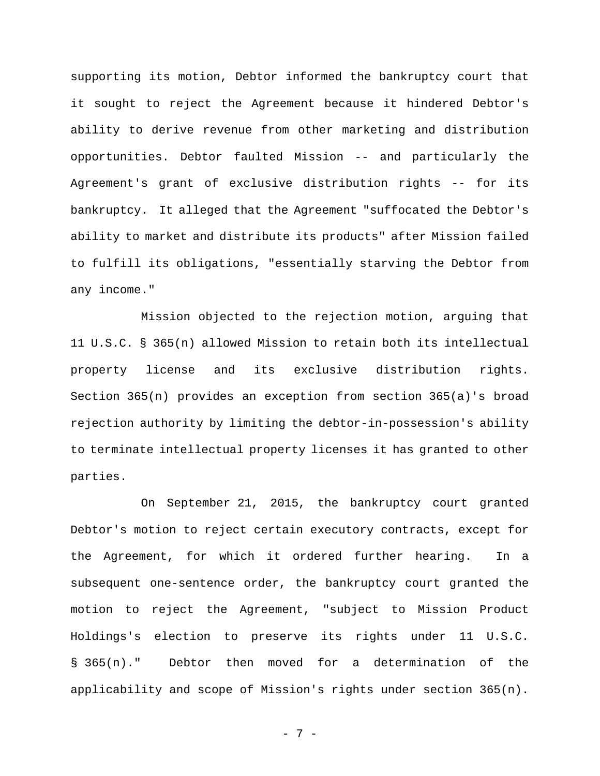supporting its motion, Debtor informed the bankruptcy court that it sought to reject the Agreement because it hindered Debtor's ability to derive revenue from other marketing and distribution opportunities. Debtor faulted Mission -- and particularly the Agreement's grant of exclusive distribution rights -- for its bankruptcy. It alleged that the Agreement "suffocated the Debtor's ability to market and distribute its products" after Mission failed to fulfill its obligations, "essentially starving the Debtor from any income."

Mission objected to the rejection motion, arguing that 11 U.S.C. § 365(n) allowed Mission to retain both its intellectual property license and its exclusive distribution rights. Section 365(n) provides an exception from section 365(a)'s broad rejection authority by limiting the debtor-in-possession's ability to terminate intellectual property licenses it has granted to other parties.

On September 21, 2015, the bankruptcy court granted Debtor's motion to reject certain executory contracts, except for the Agreement, for which it ordered further hearing. In a subsequent one-sentence order, the bankruptcy court granted the motion to reject the Agreement, "subject to Mission Product Holdings's election to preserve its rights under 11 U.S.C. § 365(n)." Debtor then moved for a determination of the applicability and scope of Mission's rights under section 365(n).

- 7 -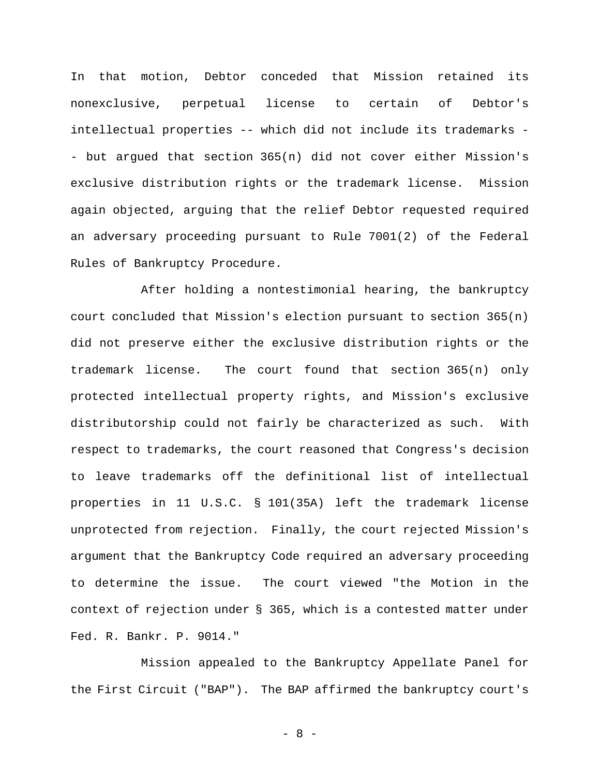In that motion, Debtor conceded that Mission retained its nonexclusive, perpetual license to certain of Debtor's intellectual properties -- which did not include its trademarks - - but argued that section 365(n) did not cover either Mission's exclusive distribution rights or the trademark license. Mission again objected, arguing that the relief Debtor requested required an adversary proceeding pursuant to Rule 7001(2) of the Federal Rules of Bankruptcy Procedure.

After holding a nontestimonial hearing, the bankruptcy court concluded that Mission's election pursuant to section 365(n) did not preserve either the exclusive distribution rights or the trademark license. The court found that section 365(n) only protected intellectual property rights, and Mission's exclusive distributorship could not fairly be characterized as such. With respect to trademarks, the court reasoned that Congress's decision to leave trademarks off the definitional list of intellectual properties in 11 U.S.C. § 101(35A) left the trademark license unprotected from rejection. Finally, the court rejected Mission's argument that the Bankruptcy Code required an adversary proceeding to determine the issue. The court viewed "the Motion in the context of rejection under § 365, which is a contested matter under Fed. R. Bankr. P. 9014."

Mission appealed to the Bankruptcy Appellate Panel for the First Circuit ("BAP"). The BAP affirmed the bankruptcy court's

- 8 -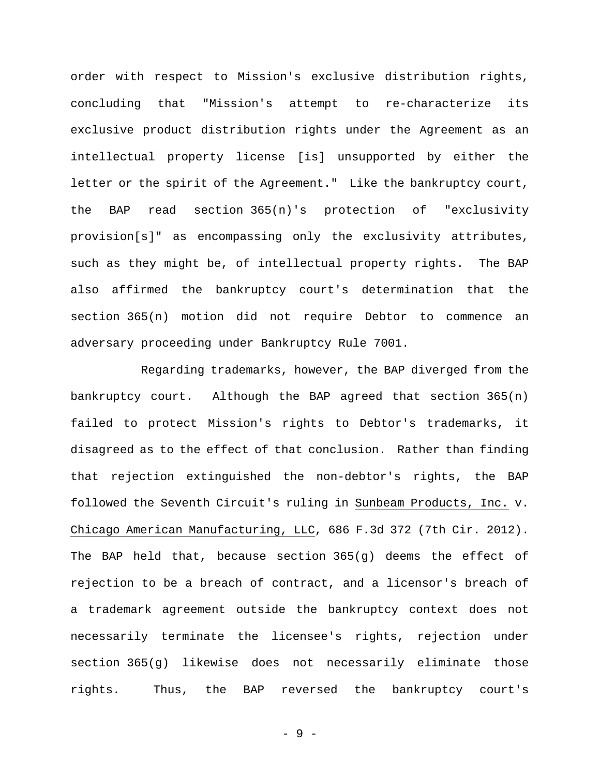order with respect to Mission's exclusive distribution rights, concluding that "Mission's attempt to re-characterize its exclusive product distribution rights under the Agreement as an intellectual property license [is] unsupported by either the letter or the spirit of the Agreement." Like the bankruptcy court, the BAP read section 365(n)'s protection of "exclusivity provision[s]" as encompassing only the exclusivity attributes, such as they might be, of intellectual property rights. The BAP also affirmed the bankruptcy court's determination that the section 365(n) motion did not require Debtor to commence an adversary proceeding under Bankruptcy Rule 7001.

Regarding trademarks, however, the BAP diverged from the bankruptcy court. Although the BAP agreed that section 365(n) failed to protect Mission's rights to Debtor's trademarks, it disagreed as to the effect of that conclusion. Rather than finding that rejection extinguished the non-debtor's rights, the BAP followed the Seventh Circuit's ruling in Sunbeam Products, Inc. v. Chicago American Manufacturing, LLC, 686 F.3d 372 (7th Cir. 2012). The BAP held that, because section 365(g) deems the effect of rejection to be a breach of contract, and a licensor's breach of a trademark agreement outside the bankruptcy context does not necessarily terminate the licensee's rights, rejection under section 365(g) likewise does not necessarily eliminate those rights. Thus, the BAP reversed the bankruptcy court's

- 9 -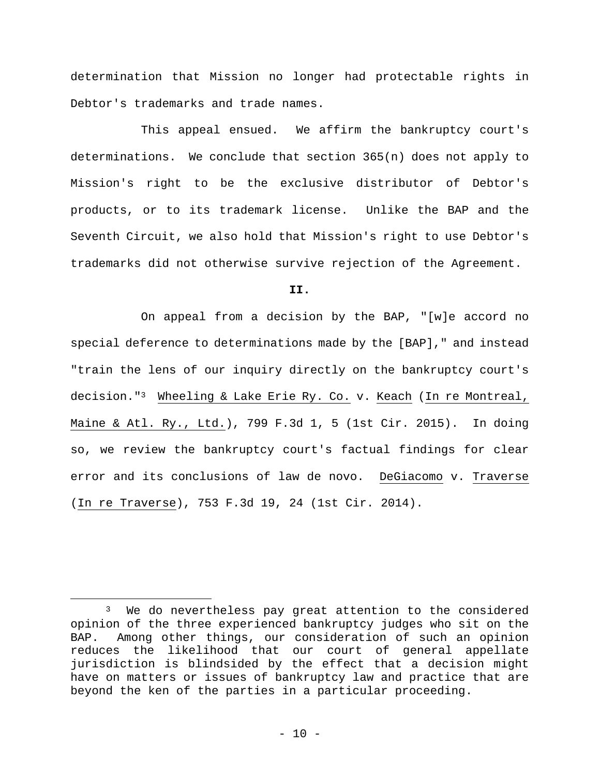determination that Mission no longer had protectable rights in Debtor's trademarks and trade names.

This appeal ensued. We affirm the bankruptcy court's determinations. We conclude that section 365(n) does not apply to Mission's right to be the exclusive distributor of Debtor's products, or to its trademark license. Unlike the BAP and the Seventh Circuit, we also hold that Mission's right to use Debtor's trademarks did not otherwise survive rejection of the Agreement.

**II.** 

On appeal from a decision by the BAP, "[w]e accord no special deference to determinations made by the [BAP]," and instead "train the lens of our inquiry directly on the bankruptcy court's decision."3 Wheeling & Lake Erie Ry. Co. v. Keach (In re Montreal, Maine & Atl. Ry., Ltd.), 799 F.3d 1, 5 (1st Cir. 2015). In doing so, we review the bankruptcy court's factual findings for clear error and its conclusions of law de novo. DeGiacomo v. Traverse (In re Traverse), 753 F.3d 19, 24 (1st Cir. 2014).

 $\overline{a}$ 

<sup>3</sup> We do nevertheless pay great attention to the considered opinion of the three experienced bankruptcy judges who sit on the BAP. Among other things, our consideration of such an opinion reduces the likelihood that our court of general appellate jurisdiction is blindsided by the effect that a decision might have on matters or issues of bankruptcy law and practice that are beyond the ken of the parties in a particular proceeding.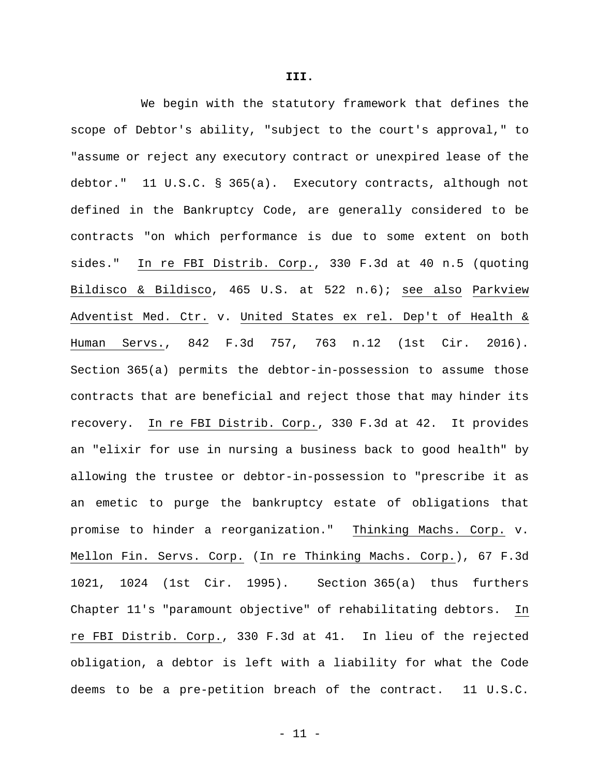We begin with the statutory framework that defines the scope of Debtor's ability, "subject to the court's approval," to "assume or reject any executory contract or unexpired lease of the debtor." 11 U.S.C. § 365(a). Executory contracts, although not defined in the Bankruptcy Code, are generally considered to be contracts "on which performance is due to some extent on both sides." In re FBI Distrib. Corp., 330 F.3d at 40 n.5 (quoting Bildisco & Bildisco, 465 U.S. at 522 n.6); see also Parkview Adventist Med. Ctr. v. United States ex rel. Dep't of Health & Human Servs., 842 F.3d 757, 763 n.12 (1st Cir. 2016). Section 365(a) permits the debtor-in-possession to assume those contracts that are beneficial and reject those that may hinder its recovery. In re FBI Distrib. Corp., 330 F.3d at 42. It provides an "elixir for use in nursing a business back to good health" by allowing the trustee or debtor-in-possession to "prescribe it as an emetic to purge the bankruptcy estate of obligations that promise to hinder a reorganization." Thinking Machs. Corp. v. Mellon Fin. Servs. Corp. (In re Thinking Machs. Corp.), 67 F.3d 1021, 1024 (1st Cir. 1995). Section 365(a) thus furthers Chapter 11's "paramount objective" of rehabilitating debtors. In re FBI Distrib. Corp., 330 F.3d at 41. In lieu of the rejected obligation, a debtor is left with a liability for what the Code deems to be a pre-petition breach of the contract. 11 U.S.C.

**III.**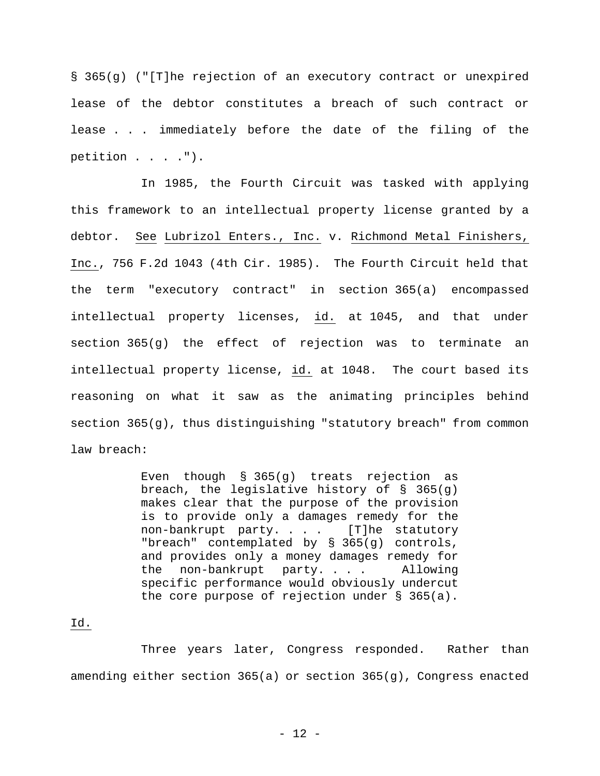§ 365(g) ("[T]he rejection of an executory contract or unexpired lease of the debtor constitutes a breach of such contract or lease . . . immediately before the date of the filing of the petition . . . . ").

In 1985, the Fourth Circuit was tasked with applying this framework to an intellectual property license granted by a debtor. See Lubrizol Enters., Inc. v. Richmond Metal Finishers, Inc., 756 F.2d 1043 (4th Cir. 1985). The Fourth Circuit held that the term "executory contract" in section 365(a) encompassed intellectual property licenses, id. at 1045, and that under section 365(g) the effect of rejection was to terminate an intellectual property license, id. at 1048. The court based its reasoning on what it saw as the animating principles behind section  $365(g)$ , thus distinguishing "statutory breach" from common law breach:

> Even though § 365(g) treats rejection as breach, the legislative history of § 365(g) makes clear that the purpose of the provision is to provide only a damages remedy for the non-bankrupt party. . . . [T]he statutory "breach" contemplated by § 365(g) controls, and provides only a money damages remedy for the non-bankrupt party. . . . Allowing specific performance would obviously undercut the core purpose of rejection under § 365(a).

## Id.

Three years later, Congress responded. Rather than amending either section 365(a) or section 365(g), Congress enacted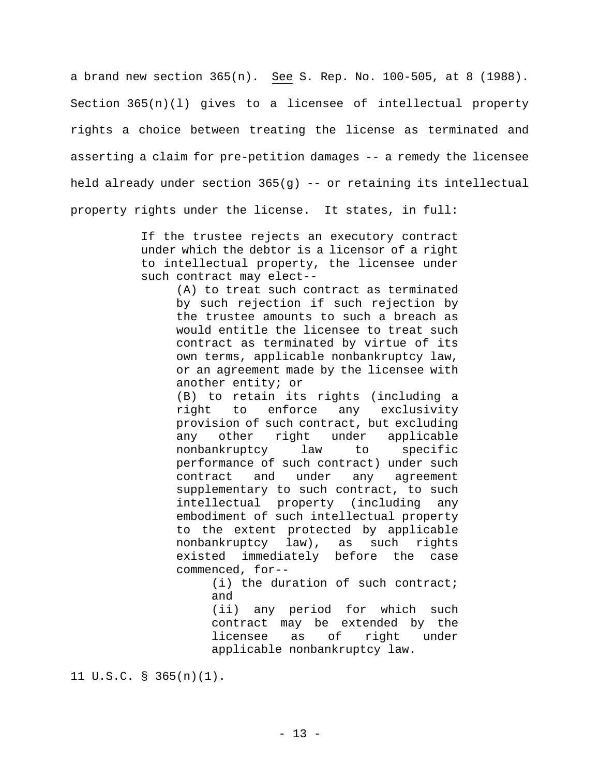a brand new section 365(n). See S. Rep. No. 100-505, at 8 (1988). Section  $365(n)(1)$  gives to a licensee of intellectual property rights a choice between treating the license as terminated and asserting a claim for pre-petition damages -- a remedy the licensee held already under section 365(g) -- or retaining its intellectual property rights under the license. It states, in full:

> If the trustee rejects an executory contract under which the debtor is a licensor of a right to intellectual property, the licensee under such contract may elect--

> > (A) to treat such contract as terminated by such rejection if such rejection by the trustee amounts to such a breach as would entitle the licensee to treat such contract as terminated by virtue of its own terms, applicable nonbankruptcy law, or an agreement made by the licensee with another entity; or

> > (B) to retain its rights (including a right to enforce any exclusivity provision of such contract, but excluding any other right under applicable nonbankruptcy law to specific performance of such contract) under such contract and under any agreement supplementary to such contract, to such intellectual property (including any embodiment of such intellectual property to the extent protected by applicable nonbankruptcy law), as such rights existed immediately before the case commenced, for--

> > > (i) the duration of such contract; and

(ii) any period for which such contract may be extended by the licensee as of right under applicable nonbankruptcy law.

11 U.S.C. § 365(n)(1).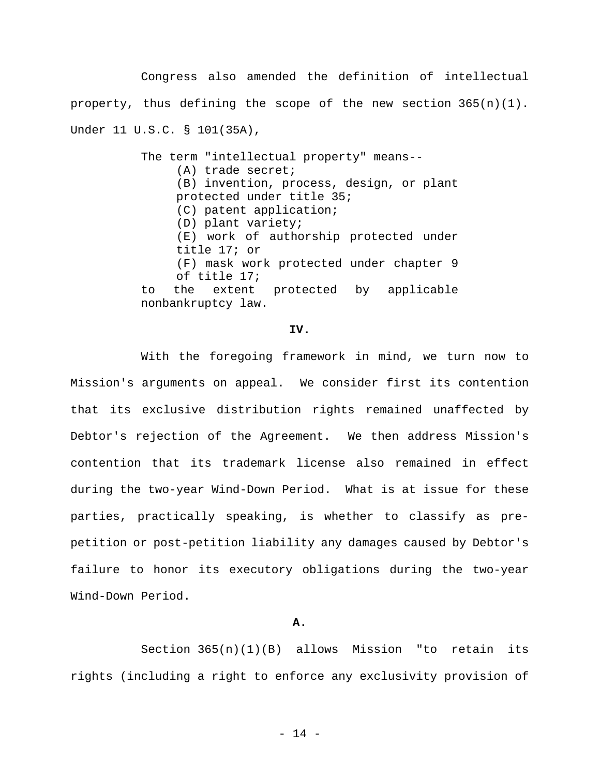Congress also amended the definition of intellectual property, thus defining the scope of the new section 365(n)(1). Under 11 U.S.C. § 101(35A),

> The term "intellectual property" means-- (A) trade secret; (B) invention, process, design, or plant protected under title 35; (C) patent application; (D) plant variety; (E) work of authorship protected under title 17; or (F) mask work protected under chapter 9 of title 17; to the extent protected by applicable nonbankruptcy law.

### **IV.**

With the foregoing framework in mind, we turn now to Mission's arguments on appeal. We consider first its contention that its exclusive distribution rights remained unaffected by Debtor's rejection of the Agreement. We then address Mission's contention that its trademark license also remained in effect during the two-year Wind-Down Period. What is at issue for these parties, practically speaking, is whether to classify as prepetition or post-petition liability any damages caused by Debtor's failure to honor its executory obligations during the two-year Wind-Down Period.

#### **A.**

Section  $365(n)(1)(B)$  allows Mission "to retain its rights (including a right to enforce any exclusivity provision of

- 14 -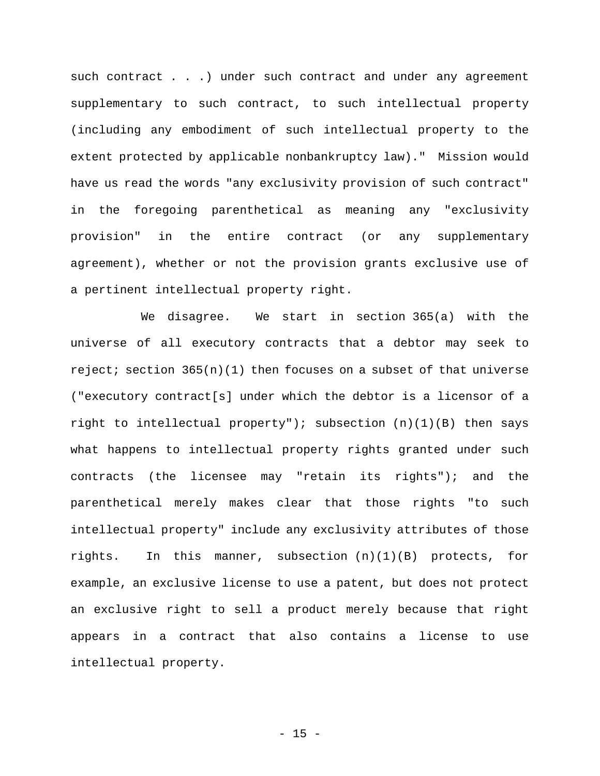such contract . . . ) under such contract and under any agreement supplementary to such contract, to such intellectual property (including any embodiment of such intellectual property to the extent protected by applicable nonbankruptcy law)." Mission would have us read the words "any exclusivity provision of such contract" in the foregoing parenthetical as meaning any "exclusivity provision" in the entire contract (or any supplementary agreement), whether or not the provision grants exclusive use of a pertinent intellectual property right.

We disagree. We start in section 365(a) with the universe of all executory contracts that a debtor may seek to reject; section  $365(n)(1)$  then focuses on a subset of that universe ("executory contract[s] under which the debtor is a licensor of a right to intellectual property"); subsection (n)(1)(B) then says what happens to intellectual property rights granted under such contracts (the licensee may "retain its rights"); and the parenthetical merely makes clear that those rights "to such intellectual property" include any exclusivity attributes of those rights. In this manner, subsection  $(n)(1)(B)$  protects, for example, an exclusive license to use a patent, but does not protect an exclusive right to sell a product merely because that right appears in a contract that also contains a license to use intellectual property.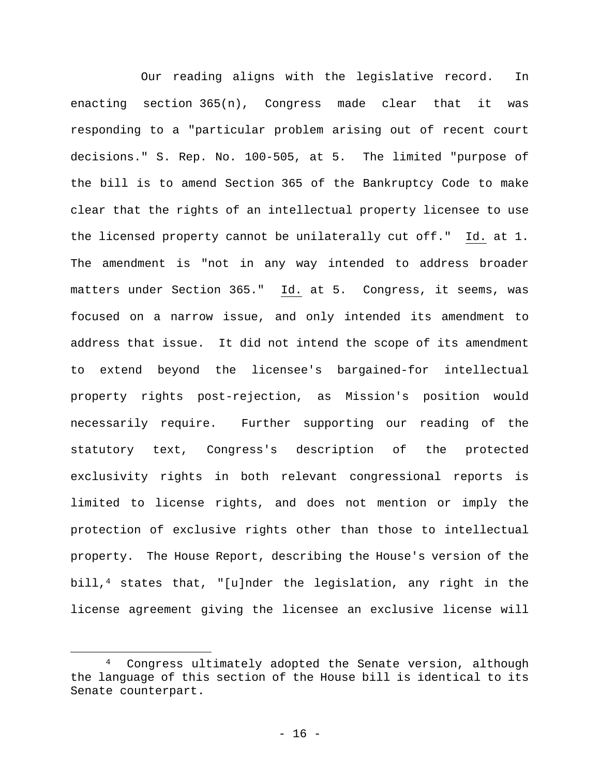Our reading aligns with the legislative record. In enacting section 365(n), Congress made clear that it was responding to a "particular problem arising out of recent court decisions." S. Rep. No. 100-505, at 5. The limited "purpose of the bill is to amend Section 365 of the Bankruptcy Code to make clear that the rights of an intellectual property licensee to use the licensed property cannot be unilaterally cut off." Id. at 1. The amendment is "not in any way intended to address broader matters under Section 365." Id. at 5. Congress, it seems, was focused on a narrow issue, and only intended its amendment to address that issue. It did not intend the scope of its amendment to extend beyond the licensee's bargained-for intellectual property rights post-rejection, as Mission's position would necessarily require. Further supporting our reading of the statutory text, Congress's description of the protected exclusivity rights in both relevant congressional reports is limited to license rights, and does not mention or imply the protection of exclusive rights other than those to intellectual property. The House Report, describing the House's version of the bill,<sup>4</sup> states that, "[u]nder the legislation, any right in the license agreement giving the licensee an exclusive license will

 $\overline{a}$ 

Congress ultimately adopted the Senate version, although the language of this section of the House bill is identical to its Senate counterpart.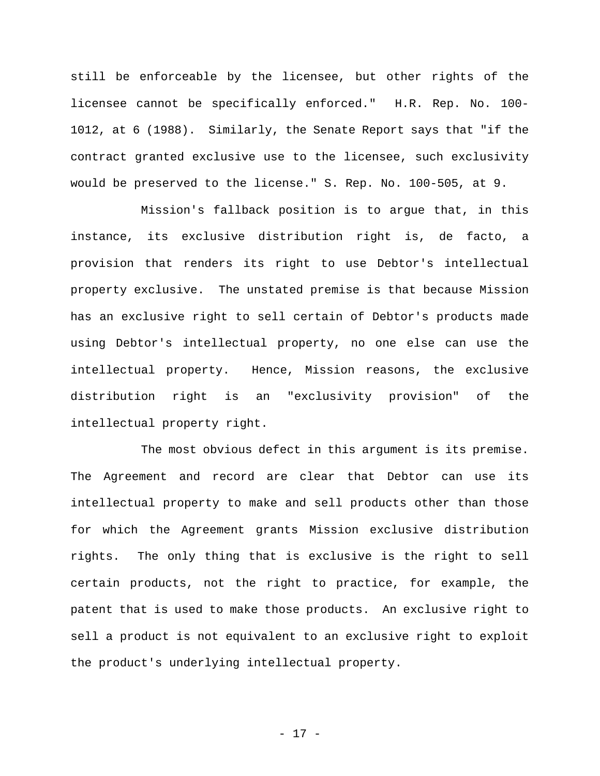still be enforceable by the licensee, but other rights of the licensee cannot be specifically enforced." H.R. Rep. No. 100- 1012, at 6 (1988). Similarly, the Senate Report says that "if the contract granted exclusive use to the licensee, such exclusivity would be preserved to the license." S. Rep. No. 100-505, at 9.

Mission's fallback position is to argue that, in this instance, its exclusive distribution right is, de facto, a provision that renders its right to use Debtor's intellectual property exclusive. The unstated premise is that because Mission has an exclusive right to sell certain of Debtor's products made using Debtor's intellectual property, no one else can use the intellectual property. Hence, Mission reasons, the exclusive distribution right is an "exclusivity provision" of the intellectual property right.

The most obvious defect in this argument is its premise. The Agreement and record are clear that Debtor can use its intellectual property to make and sell products other than those for which the Agreement grants Mission exclusive distribution rights. The only thing that is exclusive is the right to sell certain products, not the right to practice, for example, the patent that is used to make those products. An exclusive right to sell a product is not equivalent to an exclusive right to exploit the product's underlying intellectual property.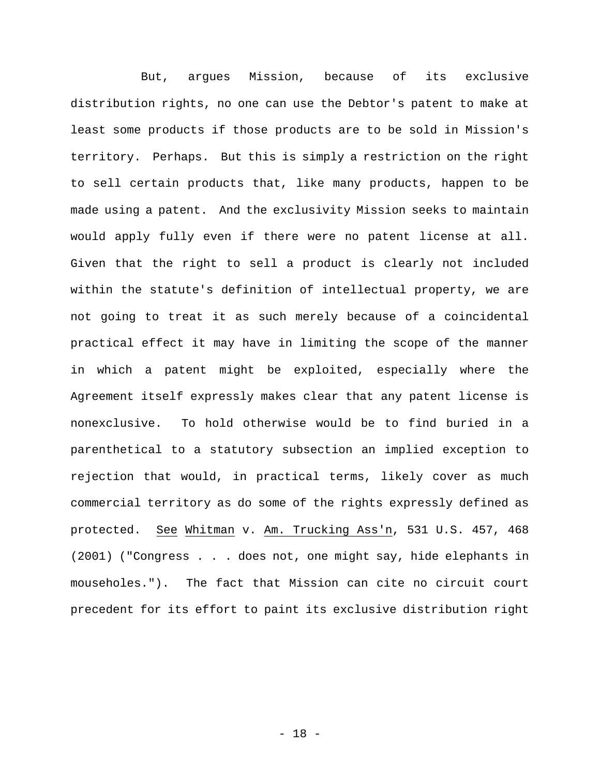But, argues Mission, because of its exclusive distribution rights, no one can use the Debtor's patent to make at least some products if those products are to be sold in Mission's territory. Perhaps. But this is simply a restriction on the right to sell certain products that, like many products, happen to be made using a patent. And the exclusivity Mission seeks to maintain would apply fully even if there were no patent license at all. Given that the right to sell a product is clearly not included within the statute's definition of intellectual property, we are not going to treat it as such merely because of a coincidental practical effect it may have in limiting the scope of the manner in which a patent might be exploited, especially where the Agreement itself expressly makes clear that any patent license is nonexclusive. To hold otherwise would be to find buried in a parenthetical to a statutory subsection an implied exception to rejection that would, in practical terms, likely cover as much commercial territory as do some of the rights expressly defined as protected. See Whitman v. Am. Trucking Ass'n, 531 U.S. 457, 468 (2001) ("Congress . . . does not, one might say, hide elephants in mouseholes."). The fact that Mission can cite no circuit court precedent for its effort to paint its exclusive distribution right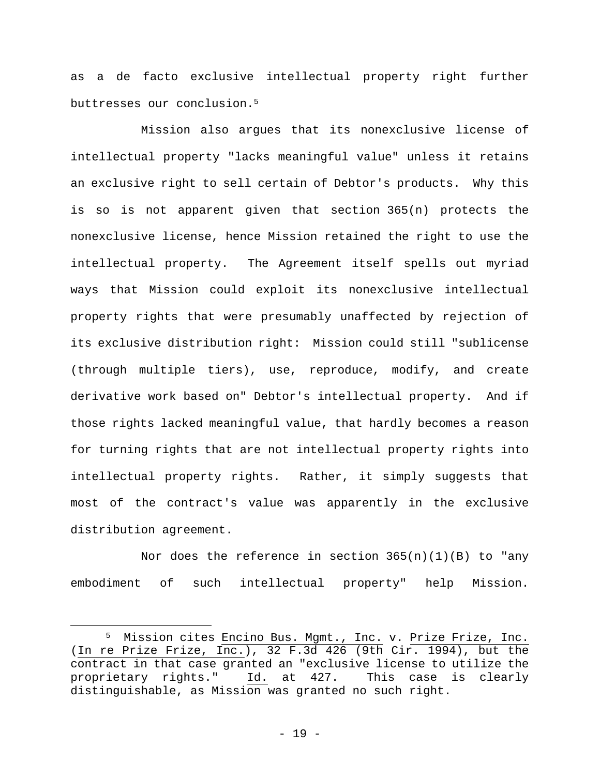as a de facto exclusive intellectual property right further buttresses our conclusion.5

Mission also argues that its nonexclusive license of intellectual property "lacks meaningful value" unless it retains an exclusive right to sell certain of Debtor's products. Why this is so is not apparent given that section 365(n) protects the nonexclusive license, hence Mission retained the right to use the intellectual property. The Agreement itself spells out myriad ways that Mission could exploit its nonexclusive intellectual property rights that were presumably unaffected by rejection of its exclusive distribution right: Mission could still "sublicense (through multiple tiers), use, reproduce, modify, and create derivative work based on" Debtor's intellectual property. And if those rights lacked meaningful value, that hardly becomes a reason for turning rights that are not intellectual property rights into intellectual property rights. Rather, it simply suggests that most of the contract's value was apparently in the exclusive distribution agreement.

Nor does the reference in section  $365(n)(1)(B)$  to "any embodiment of such intellectual property" help Mission.

 $\overline{a}$ 

<sup>5</sup> Mission cites Encino Bus. Mgmt., Inc. v. Prize Frize, Inc. (In re Prize Frize, Inc.), 32 F.3d 426  $(9th$  Cir. 1994), but the contract in that case granted an "exclusive license to utilize the proprietary rights." Id. at 427. This case is clearly distinguishable, as Mission was granted no such right.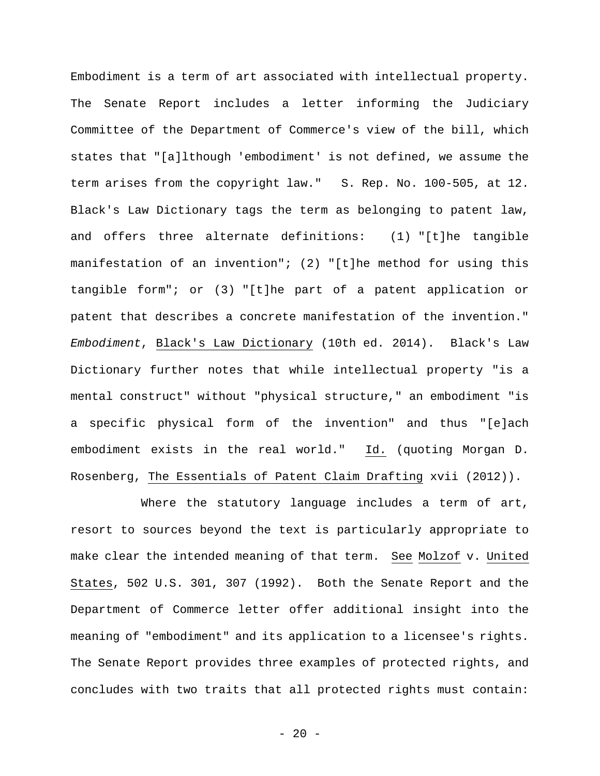Embodiment is a term of art associated with intellectual property. The Senate Report includes a letter informing the Judiciary Committee of the Department of Commerce's view of the bill, which states that "[a]lthough 'embodiment' is not defined, we assume the term arises from the copyright law." S. Rep. No. 100-505, at 12. Black's Law Dictionary tags the term as belonging to patent law, and offers three alternate definitions: (1) "[t]he tangible manifestation of an invention"; (2) "[t]he method for using this tangible form"; or (3) "[t]he part of a patent application or patent that describes a concrete manifestation of the invention." *Embodiment*, Black's Law Dictionary (10th ed. 2014). Black's Law Dictionary further notes that while intellectual property "is a mental construct" without "physical structure," an embodiment "is a specific physical form of the invention" and thus "[e]ach embodiment exists in the real world." Id. (quoting Morgan D. Rosenberg, The Essentials of Patent Claim Drafting xvii (2012)).

Where the statutory language includes a term of art, resort to sources beyond the text is particularly appropriate to make clear the intended meaning of that term. See Molzof v. United States, 502 U.S. 301, 307 (1992). Both the Senate Report and the Department of Commerce letter offer additional insight into the meaning of "embodiment" and its application to a licensee's rights. The Senate Report provides three examples of protected rights, and concludes with two traits that all protected rights must contain:

 $- 20 -$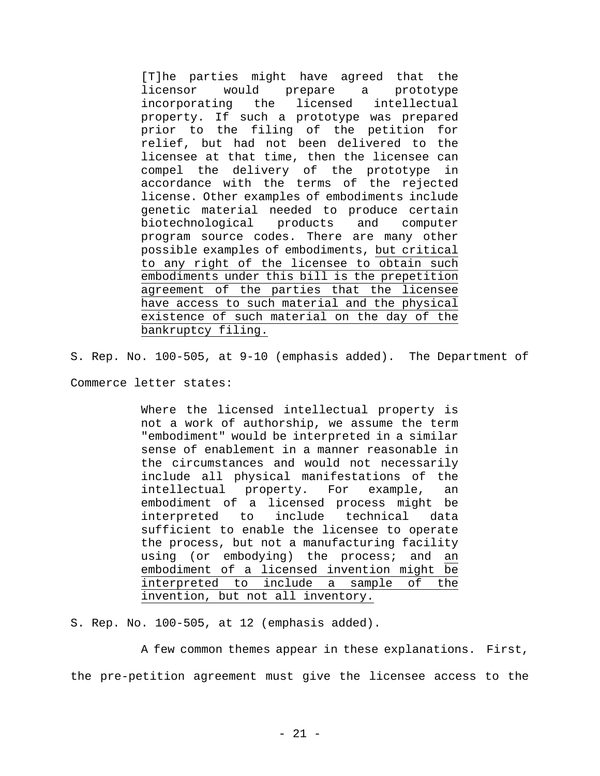[T]he parties might have agreed that the licensor would prepare a prototype incorporating the licensed intellectual property. If such a prototype was prepared prior to the filing of the petition for relief, but had not been delivered to the licensee at that time, then the licensee can compel the delivery of the prototype in accordance with the terms of the rejected license. Other examples of embodiments include genetic material needed to produce certain biotechnological products and computer program source codes. There are many other possible examples of embodiments, but critical to any right of the licensee to obtain such embodiments under this bill is the prepetition agreement of the parties that the licensee have access to such material and the physical existence of such material on the day of the bankruptcy filing.

S. Rep. No. 100-505, at 9-10 (emphasis added). The Department of

Commerce letter states:

Where the licensed intellectual property is not a work of authorship, we assume the term "embodiment" would be interpreted in a similar sense of enablement in a manner reasonable in the circumstances and would not necessarily include all physical manifestations of the intellectual property. For example, an embodiment of a licensed process might be interpreted to include technical data sufficient to enable the licensee to operate the process, but not a manufacturing facility using (or embodying) the process; and an embodiment of a licensed invention might be interpreted to include a sample of the invention, but not all inventory.

S. Rep. No. 100-505, at 12 (emphasis added).

A few common themes appear in these explanations. First, the pre-petition agreement must give the licensee access to the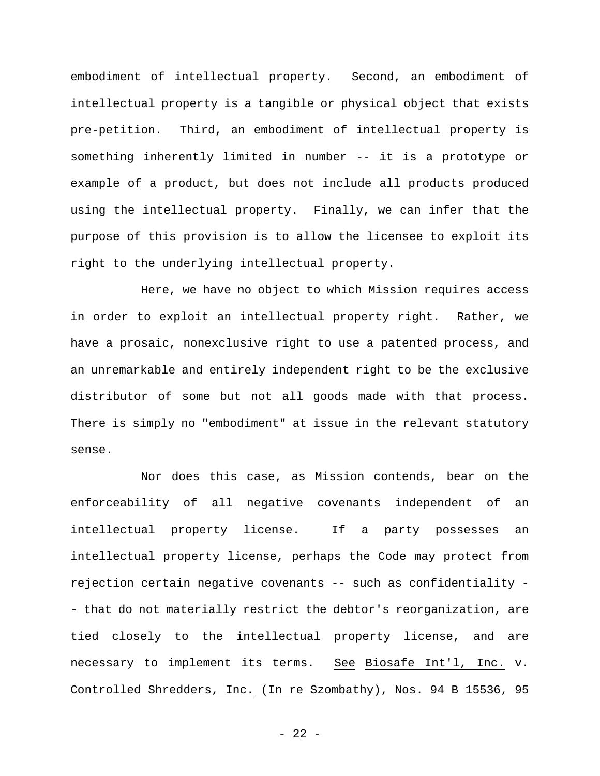embodiment of intellectual property. Second, an embodiment of intellectual property is a tangible or physical object that exists pre-petition. Third, an embodiment of intellectual property is something inherently limited in number -- it is a prototype or example of a product, but does not include all products produced using the intellectual property. Finally, we can infer that the purpose of this provision is to allow the licensee to exploit its right to the underlying intellectual property.

Here, we have no object to which Mission requires access in order to exploit an intellectual property right. Rather, we have a prosaic, nonexclusive right to use a patented process, and an unremarkable and entirely independent right to be the exclusive distributor of some but not all goods made with that process. There is simply no "embodiment" at issue in the relevant statutory sense.

Nor does this case, as Mission contends, bear on the enforceability of all negative covenants independent of an intellectual property license. If a party possesses an intellectual property license, perhaps the Code may protect from rejection certain negative covenants -- such as confidentiality - - that do not materially restrict the debtor's reorganization, are tied closely to the intellectual property license, and are necessary to implement its terms. See Biosafe Int'l, Inc. v. Controlled Shredders, Inc. (In re Szombathy), Nos. 94 B 15536, 95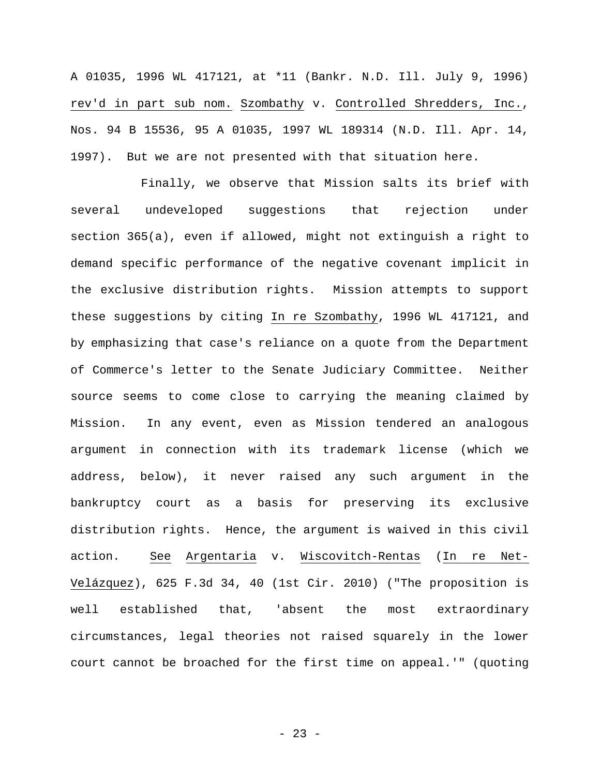A 01035, 1996 WL 417121, at \*11 (Bankr. N.D. Ill. July 9, 1996) rev'd in part sub nom. Szombathy v. Controlled Shredders, Inc., Nos. 94 B 15536, 95 A 01035, 1997 WL 189314 (N.D. Ill. Apr. 14, 1997). But we are not presented with that situation here.

Finally, we observe that Mission salts its brief with several undeveloped suggestions that rejection under section 365(a), even if allowed, might not extinguish a right to demand specific performance of the negative covenant implicit in the exclusive distribution rights. Mission attempts to support these suggestions by citing In re Szombathy, 1996 WL 417121, and by emphasizing that case's reliance on a quote from the Department of Commerce's letter to the Senate Judiciary Committee. Neither source seems to come close to carrying the meaning claimed by Mission. In any event, even as Mission tendered an analogous argument in connection with its trademark license (which we address, below), it never raised any such argument in the bankruptcy court as a basis for preserving its exclusive distribution rights. Hence, the argument is waived in this civil action. See Argentaria v. Wiscovitch-Rentas (In re Net-Velázquez), 625 F.3d 34, 40 (1st Cir. 2010) ("The proposition is well established that, 'absent the most extraordinary circumstances, legal theories not raised squarely in the lower court cannot be broached for the first time on appeal.'" (quoting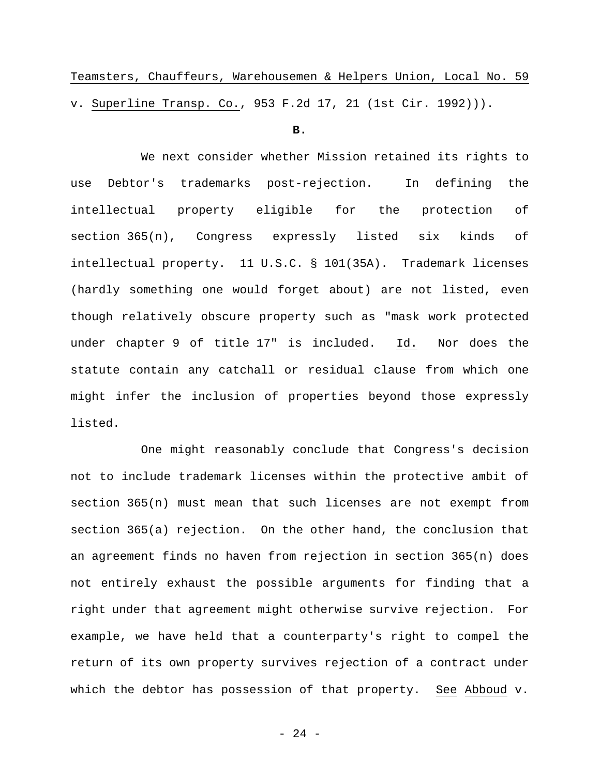Teamsters, Chauffeurs, Warehousemen & Helpers Union, Local No. 59 v. Superline Transp. Co., 953 F.2d 17, 21 (1st Cir. 1992))).

#### **B.**

We next consider whether Mission retained its rights to use Debtor's trademarks post-rejection. In defining the intellectual property eligible for the protection of section 365(n), Congress expressly listed six kinds of intellectual property. 11 U.S.C. § 101(35A). Trademark licenses (hardly something one would forget about) are not listed, even though relatively obscure property such as "mask work protected under chapter 9 of title 17" is included. Id. Nor does the statute contain any catchall or residual clause from which one might infer the inclusion of properties beyond those expressly listed.

One might reasonably conclude that Congress's decision not to include trademark licenses within the protective ambit of section 365(n) must mean that such licenses are not exempt from section 365(a) rejection. On the other hand, the conclusion that an agreement finds no haven from rejection in section 365(n) does not entirely exhaust the possible arguments for finding that a right under that agreement might otherwise survive rejection. For example, we have held that a counterparty's right to compel the return of its own property survives rejection of a contract under which the debtor has possession of that property. See Abboud v.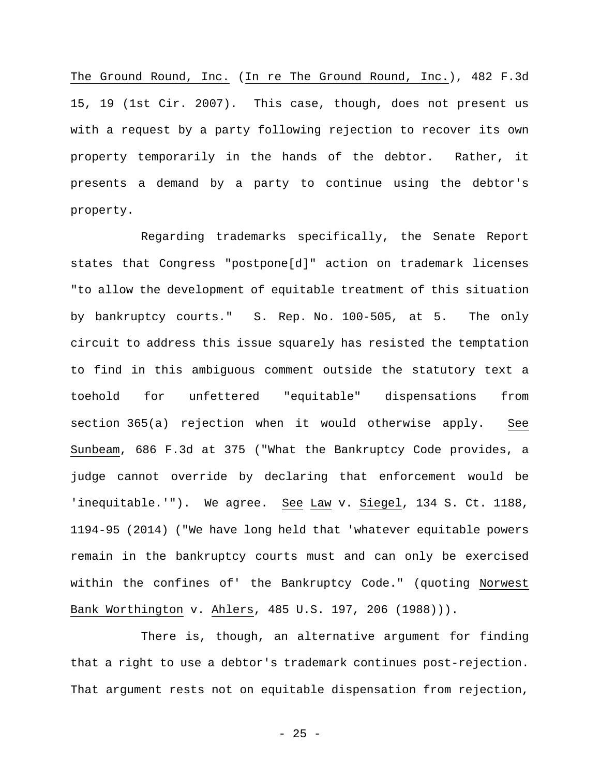The Ground Round, Inc. (In re The Ground Round, Inc.), 482 F.3d 15, 19 (1st Cir. 2007). This case, though, does not present us with a request by a party following rejection to recover its own property temporarily in the hands of the debtor. Rather, it presents a demand by a party to continue using the debtor's property.

Regarding trademarks specifically, the Senate Report states that Congress "postpone[d]" action on trademark licenses "to allow the development of equitable treatment of this situation by bankruptcy courts." S. Rep. No. 100-505, at 5. The only circuit to address this issue squarely has resisted the temptation to find in this ambiguous comment outside the statutory text a toehold for unfettered "equitable" dispensations from section 365(a) rejection when it would otherwise apply. See Sunbeam, 686 F.3d at 375 ("What the Bankruptcy Code provides, a judge cannot override by declaring that enforcement would be 'inequitable.'"). We agree. See Law v. Siegel, 134 S. Ct. 1188, 1194-95 (2014) ("We have long held that 'whatever equitable powers remain in the bankruptcy courts must and can only be exercised within the confines of' the Bankruptcy Code." (quoting Norwest Bank Worthington v. Ahlers, 485 U.S. 197, 206 (1988))).

There is, though, an alternative argument for finding that a right to use a debtor's trademark continues post-rejection. That argument rests not on equitable dispensation from rejection,

- 25 -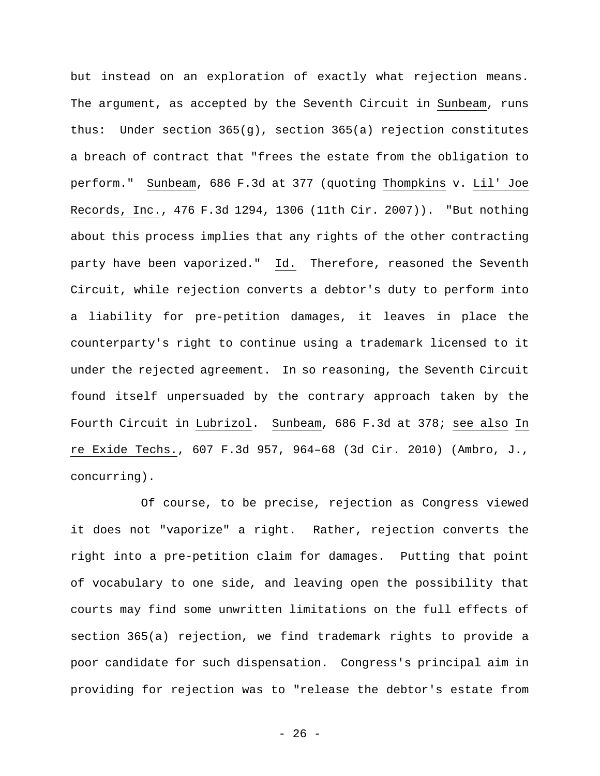but instead on an exploration of exactly what rejection means. The argument, as accepted by the Seventh Circuit in Sunbeam, runs thus: Under section 365(g), section 365(a) rejection constitutes a breach of contract that "frees the estate from the obligation to perform." Sunbeam, 686 F.3d at 377 (quoting Thompkins v. Lil' Joe Records, Inc., 476 F.3d 1294, 1306 (11th Cir. 2007)). "But nothing about this process implies that any rights of the other contracting party have been vaporized." Id. Therefore, reasoned the Seventh Circuit, while rejection converts a debtor's duty to perform into a liability for pre-petition damages, it leaves in place the counterparty's right to continue using a trademark licensed to it under the rejected agreement. In so reasoning, the Seventh Circuit found itself unpersuaded by the contrary approach taken by the Fourth Circuit in Lubrizol. Sunbeam, 686 F.3d at 378; see also In re Exide Techs., 607 F.3d 957, 964–68 (3d Cir. 2010) (Ambro, J., concurring).

Of course, to be precise, rejection as Congress viewed it does not "vaporize" a right. Rather, rejection converts the right into a pre-petition claim for damages. Putting that point of vocabulary to one side, and leaving open the possibility that courts may find some unwritten limitations on the full effects of section 365(a) rejection, we find trademark rights to provide a poor candidate for such dispensation. Congress's principal aim in providing for rejection was to "release the debtor's estate from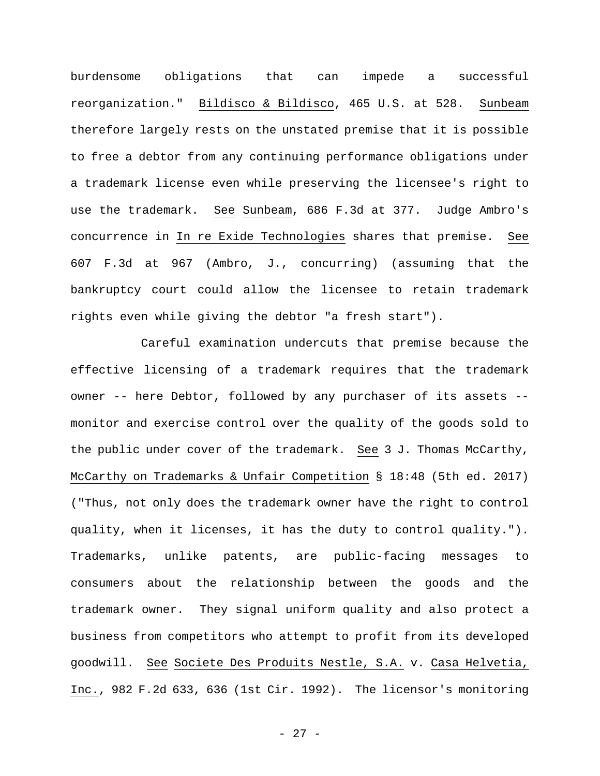burdensome obligations that can impede a successful reorganization." Bildisco & Bildisco, 465 U.S. at 528. Sunbeam therefore largely rests on the unstated premise that it is possible to free a debtor from any continuing performance obligations under a trademark license even while preserving the licensee's right to use the trademark. See Sunbeam, 686 F.3d at 377. Judge Ambro's concurrence in In re Exide Technologies shares that premise. See 607 F.3d at 967 (Ambro, J., concurring) (assuming that the bankruptcy court could allow the licensee to retain trademark rights even while giving the debtor "a fresh start").

Careful examination undercuts that premise because the effective licensing of a trademark requires that the trademark owner -- here Debtor, followed by any purchaser of its assets - monitor and exercise control over the quality of the goods sold to the public under cover of the trademark. See 3 J. Thomas McCarthy, McCarthy on Trademarks & Unfair Competition § 18:48 (5th ed. 2017) ("Thus, not only does the trademark owner have the right to control quality, when it licenses, it has the duty to control quality."). Trademarks, unlike patents, are public-facing messages to consumers about the relationship between the goods and the trademark owner. They signal uniform quality and also protect a business from competitors who attempt to profit from its developed goodwill. See Societe Des Produits Nestle, S.A. v. Casa Helvetia, Inc., 982 F.2d 633, 636 (1st Cir. 1992). The licensor's monitoring

- 27 -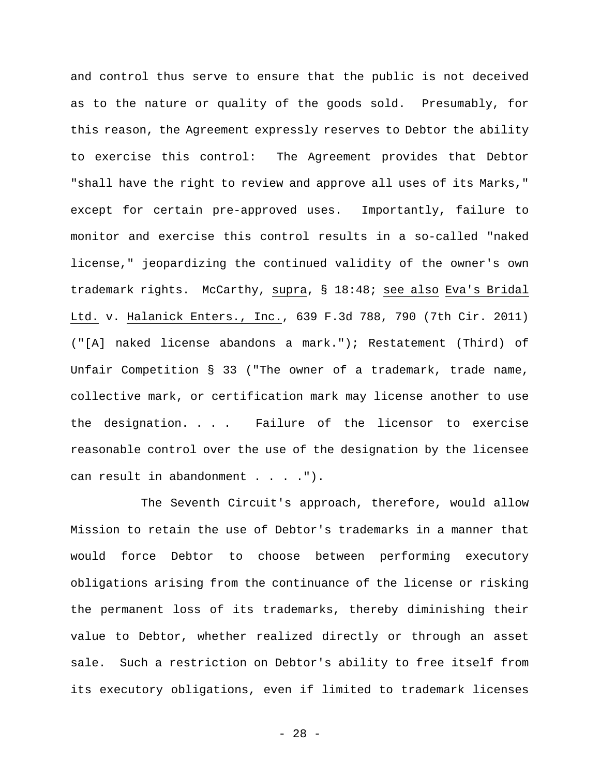and control thus serve to ensure that the public is not deceived as to the nature or quality of the goods sold. Presumably, for this reason, the Agreement expressly reserves to Debtor the ability to exercise this control: The Agreement provides that Debtor "shall have the right to review and approve all uses of its Marks," except for certain pre-approved uses. Importantly, failure to monitor and exercise this control results in a so-called "naked license," jeopardizing the continued validity of the owner's own trademark rights. McCarthy, supra, § 18:48; see also Eva's Bridal Ltd. v. Halanick Enters., Inc., 639 F.3d 788, 790 (7th Cir. 2011) ("[A] naked license abandons a mark."); Restatement (Third) of Unfair Competition § 33 ("The owner of a trademark, trade name, collective mark, or certification mark may license another to use the designation. . . . Failure of the licensor to exercise reasonable control over the use of the designation by the licensee can result in abandonment . . . . ").

The Seventh Circuit's approach, therefore, would allow Mission to retain the use of Debtor's trademarks in a manner that would force Debtor to choose between performing executory obligations arising from the continuance of the license or risking the permanent loss of its trademarks, thereby diminishing their value to Debtor, whether realized directly or through an asset sale. Such a restriction on Debtor's ability to free itself from its executory obligations, even if limited to trademark licenses

- 28 -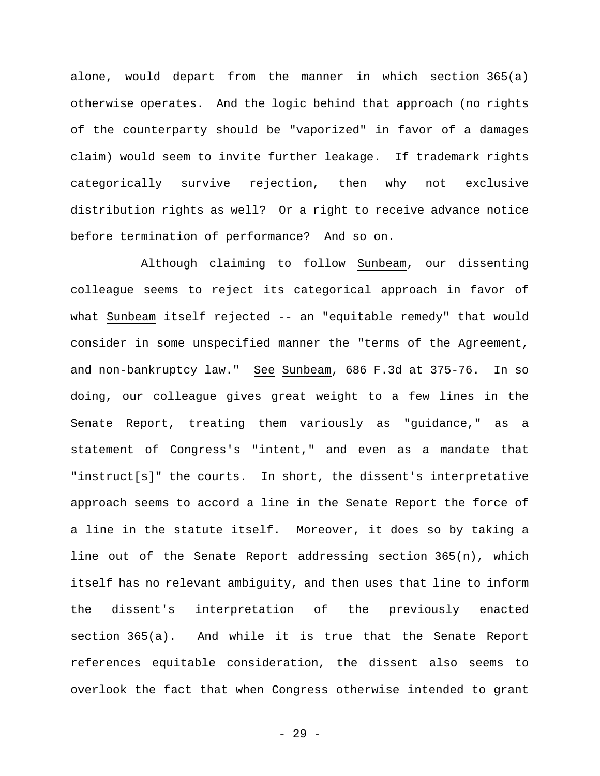alone, would depart from the manner in which section 365(a) otherwise operates. And the logic behind that approach (no rights of the counterparty should be "vaporized" in favor of a damages claim) would seem to invite further leakage. If trademark rights categorically survive rejection, then why not exclusive distribution rights as well? Or a right to receive advance notice before termination of performance? And so on.

Although claiming to follow Sunbeam, our dissenting colleague seems to reject its categorical approach in favor of what Sunbeam itself rejected -- an "equitable remedy" that would consider in some unspecified manner the "terms of the Agreement, and non-bankruptcy law." See Sunbeam, 686 F.3d at 375-76. In so doing, our colleague gives great weight to a few lines in the Senate Report, treating them variously as "guidance," as a statement of Congress's "intent," and even as a mandate that "instruct[s]" the courts. In short, the dissent's interpretative approach seems to accord a line in the Senate Report the force of a line in the statute itself. Moreover, it does so by taking a line out of the Senate Report addressing section 365(n), which itself has no relevant ambiguity, and then uses that line to inform the dissent's interpretation of the previously enacted section 365(a). And while it is true that the Senate Report references equitable consideration, the dissent also seems to overlook the fact that when Congress otherwise intended to grant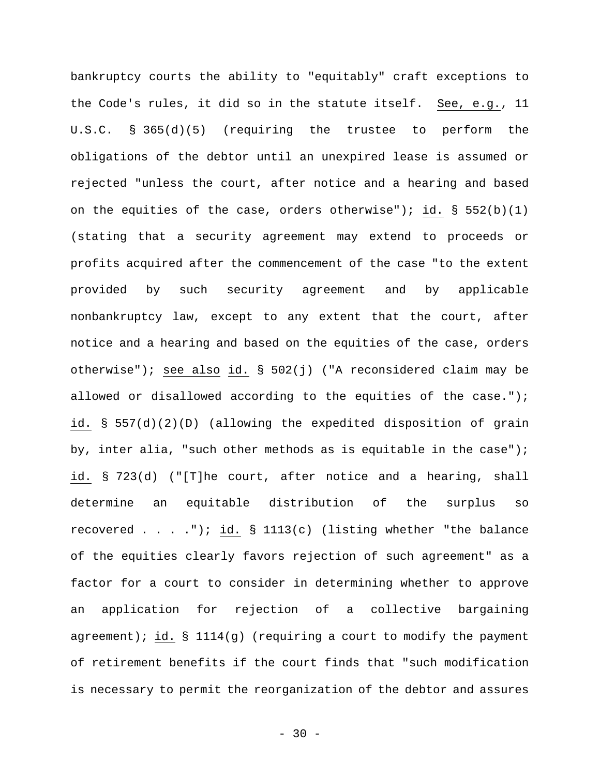bankruptcy courts the ability to "equitably" craft exceptions to the Code's rules, it did so in the statute itself. See, e.g., 11 U.S.C. § 365(d)(5) (requiring the trustee to perform the obligations of the debtor until an unexpired lease is assumed or rejected "unless the court, after notice and a hearing and based on the equities of the case, orders otherwise"); id.  $\S$  552(b)(1) (stating that a security agreement may extend to proceeds or profits acquired after the commencement of the case "to the extent provided by such security agreement and by applicable nonbankruptcy law, except to any extent that the court, after notice and a hearing and based on the equities of the case, orders otherwise"); see also id. § 502(j) ("A reconsidered claim may be allowed or disallowed according to the equities of the case."); id. § 557(d)(2)(D) (allowing the expedited disposition of grain by, inter alia, "such other methods as is equitable in the case"); id. § 723(d) ("[T]he court, after notice and a hearing, shall determine an equitable distribution of the surplus so recovered  $\dots$ ,  $'$ ); id. § 1113(c) (listing whether "the balance of the equities clearly favors rejection of such agreement" as a factor for a court to consider in determining whether to approve an application for rejection of a collective bargaining agreement); id.  $\S$  1114(g) (requiring a court to modify the payment of retirement benefits if the court finds that "such modification is necessary to permit the reorganization of the debtor and assures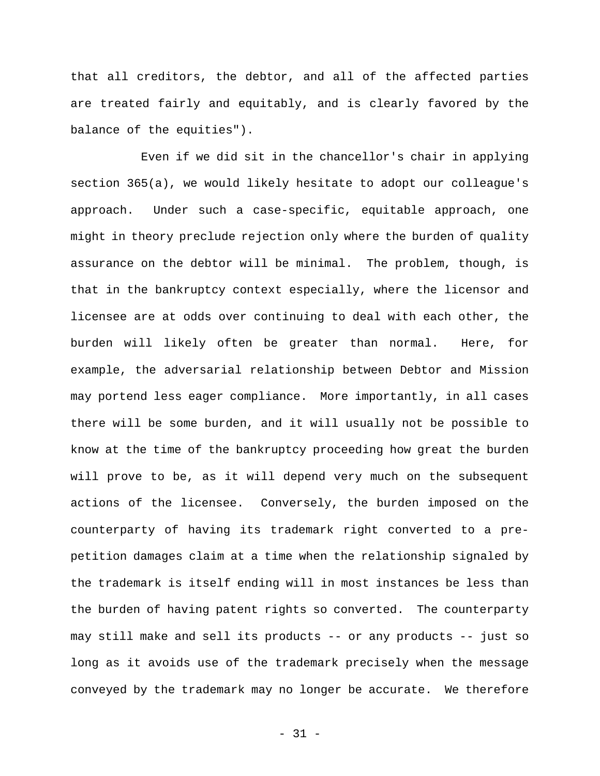that all creditors, the debtor, and all of the affected parties are treated fairly and equitably, and is clearly favored by the balance of the equities").

Even if we did sit in the chancellor's chair in applying section 365(a), we would likely hesitate to adopt our colleague's approach. Under such a case-specific, equitable approach, one might in theory preclude rejection only where the burden of quality assurance on the debtor will be minimal. The problem, though, is that in the bankruptcy context especially, where the licensor and licensee are at odds over continuing to deal with each other, the burden will likely often be greater than normal. Here, for example, the adversarial relationship between Debtor and Mission may portend less eager compliance. More importantly, in all cases there will be some burden, and it will usually not be possible to know at the time of the bankruptcy proceeding how great the burden will prove to be, as it will depend very much on the subsequent actions of the licensee. Conversely, the burden imposed on the counterparty of having its trademark right converted to a prepetition damages claim at a time when the relationship signaled by the trademark is itself ending will in most instances be less than the burden of having patent rights so converted. The counterparty may still make and sell its products -- or any products -- just so long as it avoids use of the trademark precisely when the message conveyed by the trademark may no longer be accurate. We therefore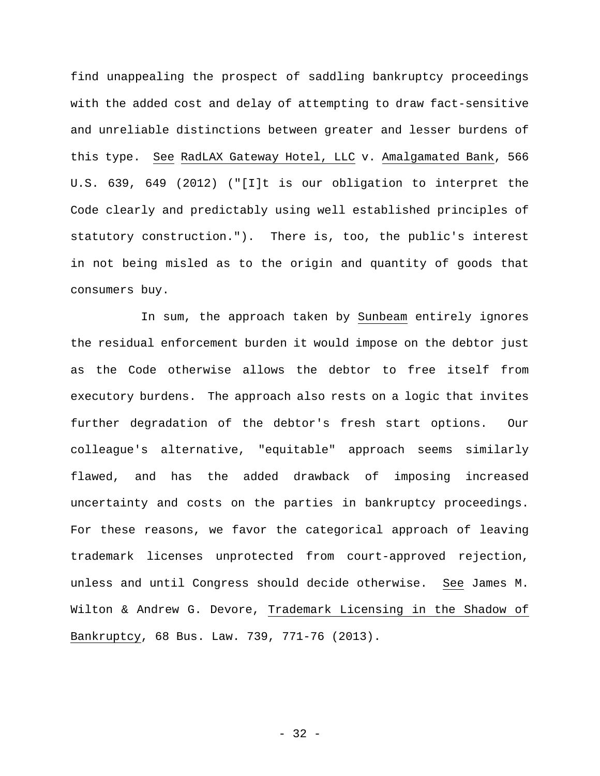find unappealing the prospect of saddling bankruptcy proceedings with the added cost and delay of attempting to draw fact-sensitive and unreliable distinctions between greater and lesser burdens of this type. See RadLAX Gateway Hotel, LLC v. Amalgamated Bank, 566 U.S. 639, 649 (2012) ("[I]t is our obligation to interpret the Code clearly and predictably using well established principles of statutory construction."). There is, too, the public's interest in not being misled as to the origin and quantity of goods that consumers buy.

In sum, the approach taken by Sunbeam entirely ignores the residual enforcement burden it would impose on the debtor just as the Code otherwise allows the debtor to free itself from executory burdens. The approach also rests on a logic that invites further degradation of the debtor's fresh start options. Our colleague's alternative, "equitable" approach seems similarly flawed, and has the added drawback of imposing increased uncertainty and costs on the parties in bankruptcy proceedings. For these reasons, we favor the categorical approach of leaving trademark licenses unprotected from court-approved rejection, unless and until Congress should decide otherwise. See James M. Wilton & Andrew G. Devore, Trademark Licensing in the Shadow of Bankruptcy, 68 Bus. Law. 739, 771-76 (2013).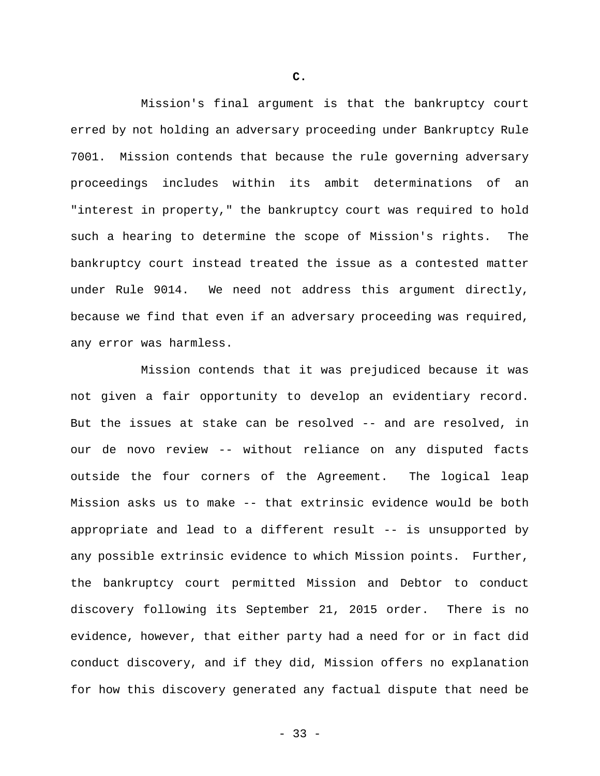Mission's final argument is that the bankruptcy court erred by not holding an adversary proceeding under Bankruptcy Rule 7001. Mission contends that because the rule governing adversary proceedings includes within its ambit determinations of an "interest in property," the bankruptcy court was required to hold such a hearing to determine the scope of Mission's rights. The bankruptcy court instead treated the issue as a contested matter under Rule 9014. We need not address this argument directly, because we find that even if an adversary proceeding was required, any error was harmless.

Mission contends that it was prejudiced because it was not given a fair opportunity to develop an evidentiary record. But the issues at stake can be resolved -- and are resolved, in our de novo review -- without reliance on any disputed facts outside the four corners of the Agreement. The logical leap Mission asks us to make -- that extrinsic evidence would be both appropriate and lead to a different result -- is unsupported by any possible extrinsic evidence to which Mission points. Further, the bankruptcy court permitted Mission and Debtor to conduct discovery following its September 21, 2015 order. There is no evidence, however, that either party had a need for or in fact did conduct discovery, and if they did, Mission offers no explanation for how this discovery generated any factual dispute that need be

**C.**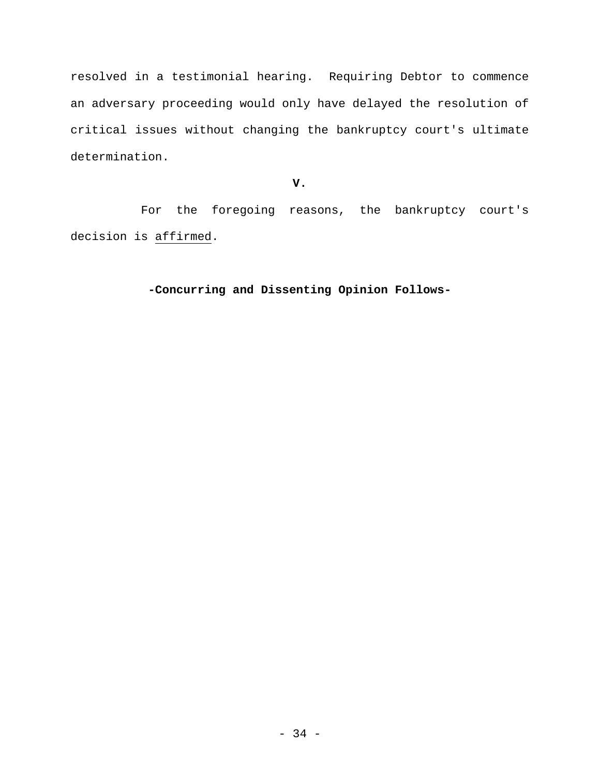resolved in a testimonial hearing. Requiring Debtor to commence an adversary proceeding would only have delayed the resolution of critical issues without changing the bankruptcy court's ultimate determination.

## **V.**

For the foregoing reasons, the bankruptcy court's decision is affirmed.

## **-Concurring and Dissenting Opinion Follows-**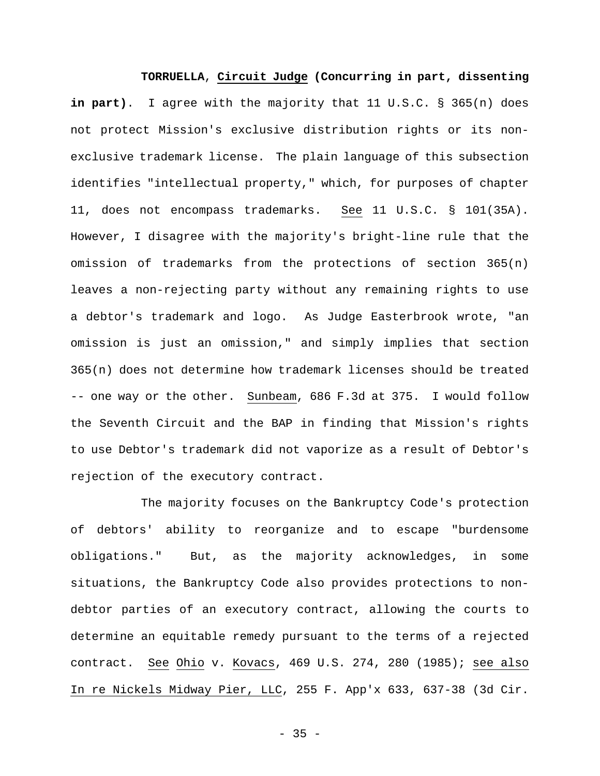**TORRUELLA**, **Circuit Judge (Concurring in part, dissenting in part)**. I agree with the majority that 11 U.S.C. § 365(n) does not protect Mission's exclusive distribution rights or its nonexclusive trademark license. The plain language of this subsection identifies "intellectual property," which, for purposes of chapter 11, does not encompass trademarks. See 11 U.S.C. § 101(35A). However, I disagree with the majority's bright-line rule that the omission of trademarks from the protections of section  $365(n)$ leaves a non-rejecting party without any remaining rights to use a debtor's trademark and logo. As Judge Easterbrook wrote, "an omission is just an omission," and simply implies that section 365(n) does not determine how trademark licenses should be treated -- one way or the other. Sunbeam, 686 F.3d at 375. I would follow the Seventh Circuit and the BAP in finding that Mission's rights to use Debtor's trademark did not vaporize as a result of Debtor's rejection of the executory contract.

The majority focuses on the Bankruptcy Code's protection of debtors' ability to reorganize and to escape "burdensome obligations." But, as the majority acknowledges, in some situations, the Bankruptcy Code also provides protections to nondebtor parties of an executory contract, allowing the courts to determine an equitable remedy pursuant to the terms of a rejected contract. See Ohio v. Kovacs, 469 U.S. 274, 280 (1985); see also In re Nickels Midway Pier, LLC, 255 F. App'x 633, 637-38 (3d Cir.

 $- 35 -$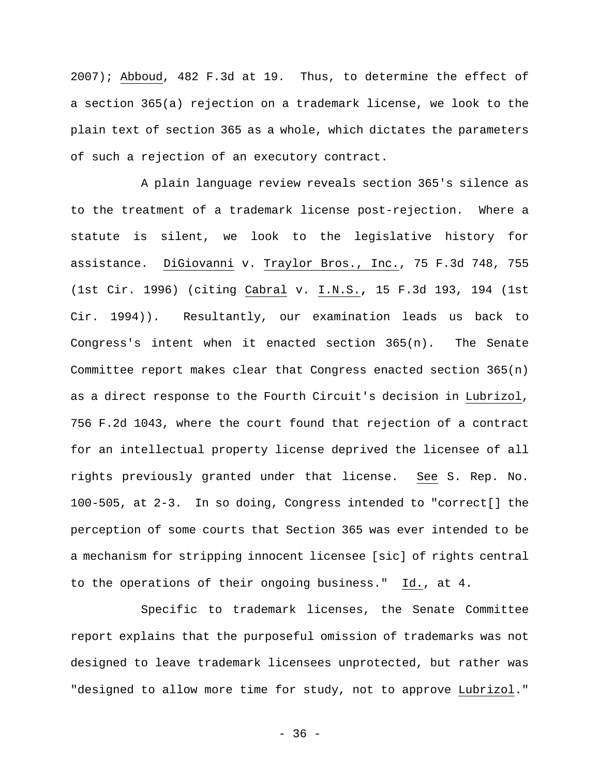2007); Abboud, 482 F.3d at 19. Thus, to determine the effect of a section 365(a) rejection on a trademark license, we look to the plain text of section 365 as a whole, which dictates the parameters of such a rejection of an executory contract.

A plain language review reveals section 365's silence as to the treatment of a trademark license post-rejection. Where a statute is silent, we look to the legislative history for assistance. DiGiovanni v. Traylor Bros., Inc., 75 F.3d 748, 755 (1st Cir. 1996) (citing Cabral v. I.N.S.**,** 15 F.3d 193, 194 (1st Cir. 1994)). Resultantly, our examination leads us back to Congress's intent when it enacted section 365(n). The Senate Committee report makes clear that Congress enacted section  $365(n)$ as a direct response to the Fourth Circuit's decision in Lubrizol, 756 F.2d 1043, where the court found that rejection of a contract for an intellectual property license deprived the licensee of all rights previously granted under that license. See S. Rep. No. 100-505, at 2-3. In so doing, Congress intended to "correct[] the perception of some courts that Section 365 was ever intended to be a mechanism for stripping innocent licensee [sic] of rights central to the operations of their ongoing business." Id., at 4.

Specific to trademark licenses, the Senate Committee report explains that the purposeful omission of trademarks was not designed to leave trademark licensees unprotected, but rather was "designed to allow more time for study, not to approve Lubrizol."

 $-36 -$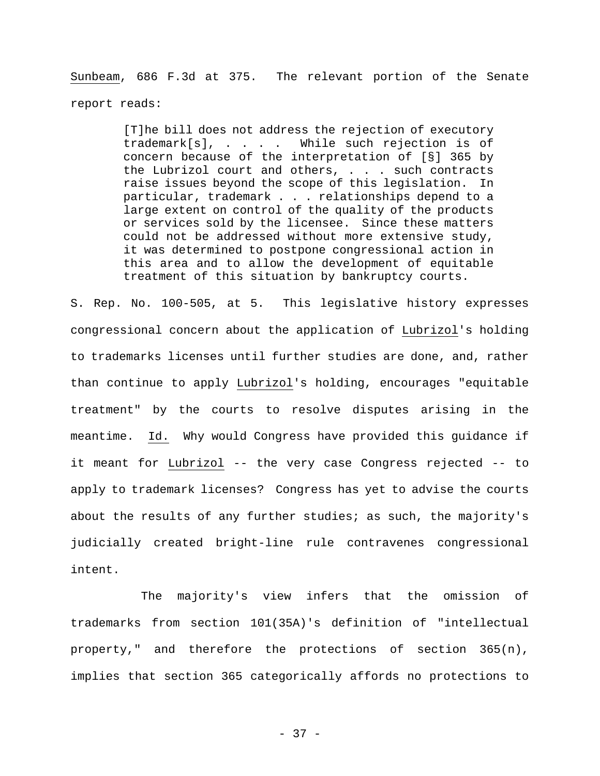Sunbeam, 686 F.3d at 375. The relevant portion of the Senate report reads:

> [T]he bill does not address the rejection of executory trademark[s], . . . . While such rejection is of concern because of the interpretation of [§] 365 by the Lubrizol court and others, . . . such contracts raise issues beyond the scope of this legislation. In particular, trademark . . . relationships depend to a large extent on control of the quality of the products or services sold by the licensee. Since these matters could not be addressed without more extensive study, it was determined to postpone congressional action in this area and to allow the development of equitable treatment of this situation by bankruptcy courts.

S. Rep. No. 100-505, at 5. This legislative history expresses congressional concern about the application of Lubrizol's holding to trademarks licenses until further studies are done, and, rather than continue to apply Lubrizol's holding, encourages "equitable treatment" by the courts to resolve disputes arising in the meantime. Id. Why would Congress have provided this guidance if it meant for Lubrizol -- the very case Congress rejected -- to apply to trademark licenses? Congress has yet to advise the courts about the results of any further studies; as such, the majority's judicially created bright-line rule contravenes congressional intent.

The majority's view infers that the omission of trademarks from section 101(35A)'s definition of "intellectual property," and therefore the protections of section 365(n), implies that section 365 categorically affords no protections to

- 37 -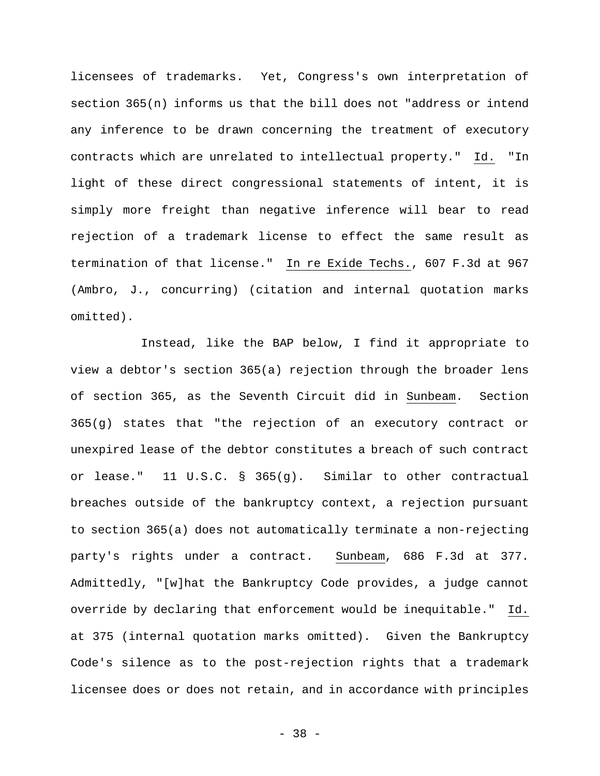licensees of trademarks. Yet, Congress's own interpretation of section 365(n) informs us that the bill does not "address or intend any inference to be drawn concerning the treatment of executory contracts which are unrelated to intellectual property." Id. "In light of these direct congressional statements of intent, it is simply more freight than negative inference will bear to read rejection of a trademark license to effect the same result as termination of that license." In re Exide Techs., 607 F.3d at 967 (Ambro, J., concurring) (citation and internal quotation marks omitted).

Instead, like the BAP below, I find it appropriate to view a debtor's section 365(a) rejection through the broader lens of section 365, as the Seventh Circuit did in Sunbeam. Section 365(g) states that "the rejection of an executory contract or unexpired lease of the debtor constitutes a breach of such contract or lease." 11 U.S.C. § 365(g). Similar to other contractual breaches outside of the bankruptcy context, a rejection pursuant to section 365(a) does not automatically terminate a non-rejecting party's rights under a contract. Sunbeam, 686 F.3d at 377. Admittedly, "[w]hat the Bankruptcy Code provides, a judge cannot override by declaring that enforcement would be inequitable." Id. at 375 (internal quotation marks omitted). Given the Bankruptcy Code's silence as to the post-rejection rights that a trademark licensee does or does not retain, and in accordance with principles

- 38 -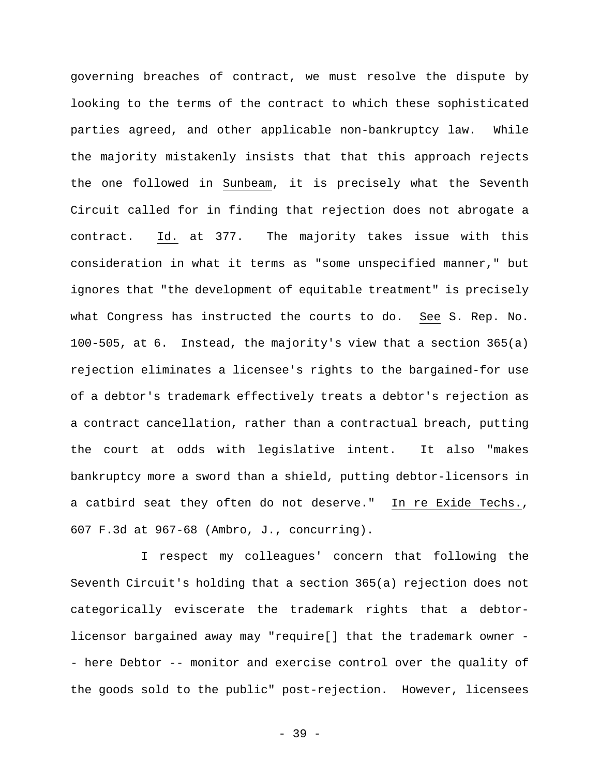governing breaches of contract, we must resolve the dispute by looking to the terms of the contract to which these sophisticated parties agreed, and other applicable non-bankruptcy law. While the majority mistakenly insists that that this approach rejects the one followed in Sunbeam, it is precisely what the Seventh Circuit called for in finding that rejection does not abrogate a contract. Id. at 377. The majority takes issue with this consideration in what it terms as "some unspecified manner," but ignores that "the development of equitable treatment" is precisely what Congress has instructed the courts to do. See S. Rep. No. 100-505, at 6. Instead, the majority's view that a section 365(a) rejection eliminates a licensee's rights to the bargained-for use of a debtor's trademark effectively treats a debtor's rejection as a contract cancellation, rather than a contractual breach, putting the court at odds with legislative intent. It also "makes bankruptcy more a sword than a shield, putting debtor-licensors in a catbird seat they often do not deserve." In re Exide Techs., 607 F.3d at 967-68 (Ambro, J., concurring).

I respect my colleagues' concern that following the Seventh Circuit's holding that a section 365(a) rejection does not categorically eviscerate the trademark rights that a debtorlicensor bargained away may "require[] that the trademark owner - - here Debtor -- monitor and exercise control over the quality of the goods sold to the public" post-rejection. However, licensees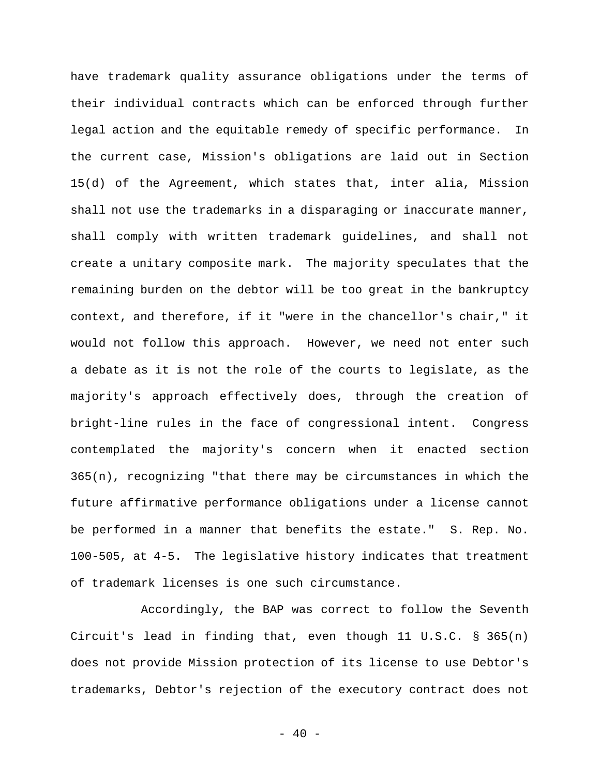have trademark quality assurance obligations under the terms of their individual contracts which can be enforced through further legal action and the equitable remedy of specific performance. In the current case, Mission's obligations are laid out in Section 15(d) of the Agreement, which states that, inter alia, Mission shall not use the trademarks in a disparaging or inaccurate manner, shall comply with written trademark guidelines, and shall not create a unitary composite mark. The majority speculates that the remaining burden on the debtor will be too great in the bankruptcy context, and therefore, if it "were in the chancellor's chair," it would not follow this approach. However, we need not enter such a debate as it is not the role of the courts to legislate, as the majority's approach effectively does, through the creation of bright-line rules in the face of congressional intent. Congress contemplated the majority's concern when it enacted section 365(n), recognizing "that there may be circumstances in which the future affirmative performance obligations under a license cannot be performed in a manner that benefits the estate." S. Rep. No. 100-505, at 4-5. The legislative history indicates that treatment of trademark licenses is one such circumstance.

Accordingly, the BAP was correct to follow the Seventh Circuit's lead in finding that, even though 11 U.S.C.  $\S$  365(n) does not provide Mission protection of its license to use Debtor's trademarks, Debtor's rejection of the executory contract does not

 $- 40 -$